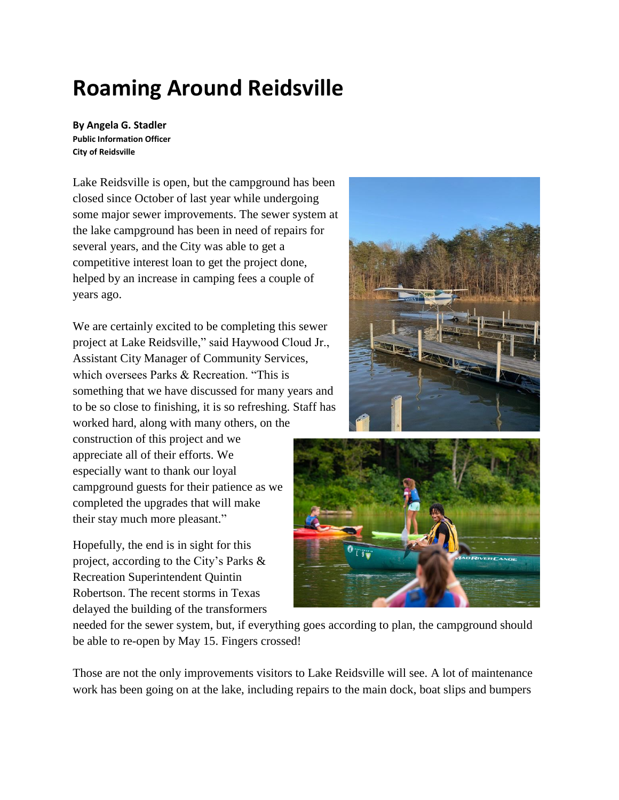# **Roaming Around Reidsville**

**By Angela G. Stadler Public Information Officer City of Reidsville**

Lake Reidsville is open, but the campground has been closed since October of last year while undergoing some major sewer improvements. The sewer system at the lake campground has been in need of repairs for several years, and the City was able to get a competitive interest loan to get the project done, helped by an increase in camping fees a couple of years ago.

We are certainly excited to be completing this sewer project at Lake Reidsville," said Haywood Cloud Jr., Assistant City Manager of Community Services, which oversees Parks & Recreation. "This is something that we have discussed for many years and to be so close to finishing, it is so refreshing. Staff has worked hard, along with many others, on the

construction of this project and we appreciate all of their efforts. We especially want to thank our loyal campground guests for their patience as we completed the upgrades that will make their stay much more pleasant."

Hopefully, the end is in sight for this project, according to the City's Parks & Recreation Superintendent Quintin Robertson. The recent storms in Texas delayed the building of the transformers





needed for the sewer system, but, if everything goes according to plan, the campground should be able to re-open by May 15. Fingers crossed!

Those are not the only improvements visitors to Lake Reidsville will see. A lot of maintenance work has been going on at the lake, including repairs to the main dock, boat slips and bumpers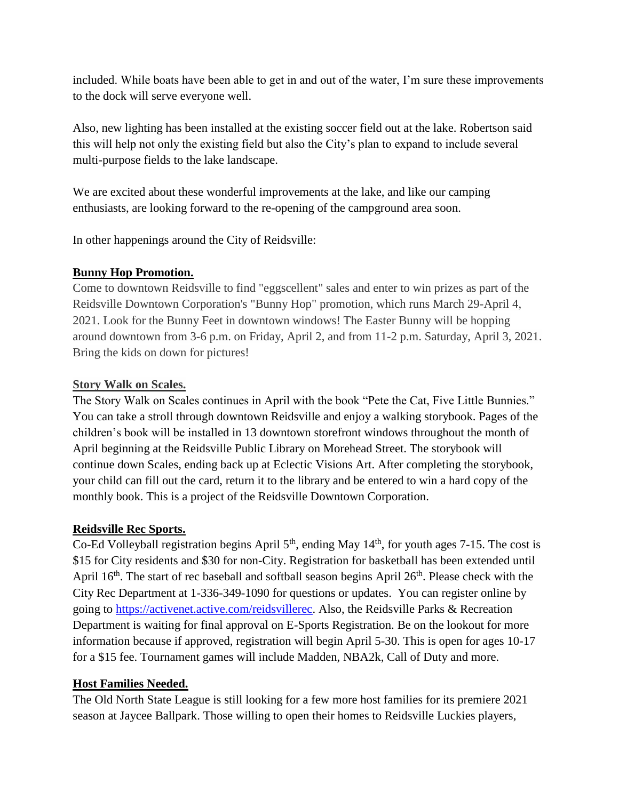included. While boats have been able to get in and out of the water, I'm sure these improvements to the dock will serve everyone well.

Also, new lighting has been installed at the existing soccer field out at the lake. Robertson said this will help not only the existing field but also the City's plan to expand to include several multi-purpose fields to the lake landscape.

We are excited about these wonderful improvements at the lake, and like our camping enthusiasts, are looking forward to the re-opening of the campground area soon.

In other happenings around the City of Reidsville:

## **Bunny Hop Promotion.**

Come to downtown Reidsville to find "eggscellent" sales and enter to win prizes as part of the Reidsville Downtown Corporation's "Bunny Hop" promotion, which runs March 29-April 4, 2021. Look for the Bunny Feet in downtown windows! The Easter Bunny will be hopping around downtown from 3-6 p.m. on Friday, April 2, and from 11-2 p.m. Saturday, April 3, 2021. Bring the kids on down for pictures!

## **Story Walk on Scales.**

The Story Walk on Scales continues in April with the book "Pete the Cat, Five Little Bunnies." You can take a stroll through downtown Reidsville and enjoy a walking storybook. Pages of the children's book will be installed in 13 downtown storefront windows throughout the month of April beginning at the Reidsville Public Library on Morehead Street. The storybook will continue down Scales, ending back up at Eclectic Visions Art. After completing the storybook, your child can fill out the card, return it to the library and be entered to win a hard copy of the monthly book. This is a project of the Reidsville Downtown Corporation.

# **Reidsville Rec Sports.**

Co-Ed Volleyball registration begins April  $5<sup>th</sup>$ , ending May  $14<sup>th</sup>$ , for youth ages 7-15. The cost is \$15 for City residents and \$30 for non-City. Registration for basketball has been extended until April 16<sup>th</sup>. The start of rec baseball and softball season begins April 26<sup>th</sup>. Please check with the City Rec Department at 1-336-349-1090 for questions or updates. You can register online by going to [https://activenet.active.com/reidsvillerec.](https://activenet.active.com/reidsvillerec) Also, the Reidsville Parks & Recreation Department is waiting for final approval on E-Sports Registration. Be on the lookout for more information because if approved, registration will begin April 5-30. This is open for ages 10-17 for a \$15 fee. Tournament games will include Madden, NBA2k, Call of Duty and more.

# **Host Families Needed.**

The Old North State League is still looking for a few more host families for its premiere 2021 season at Jaycee Ballpark. Those willing to open their homes to Reidsville Luckies players,